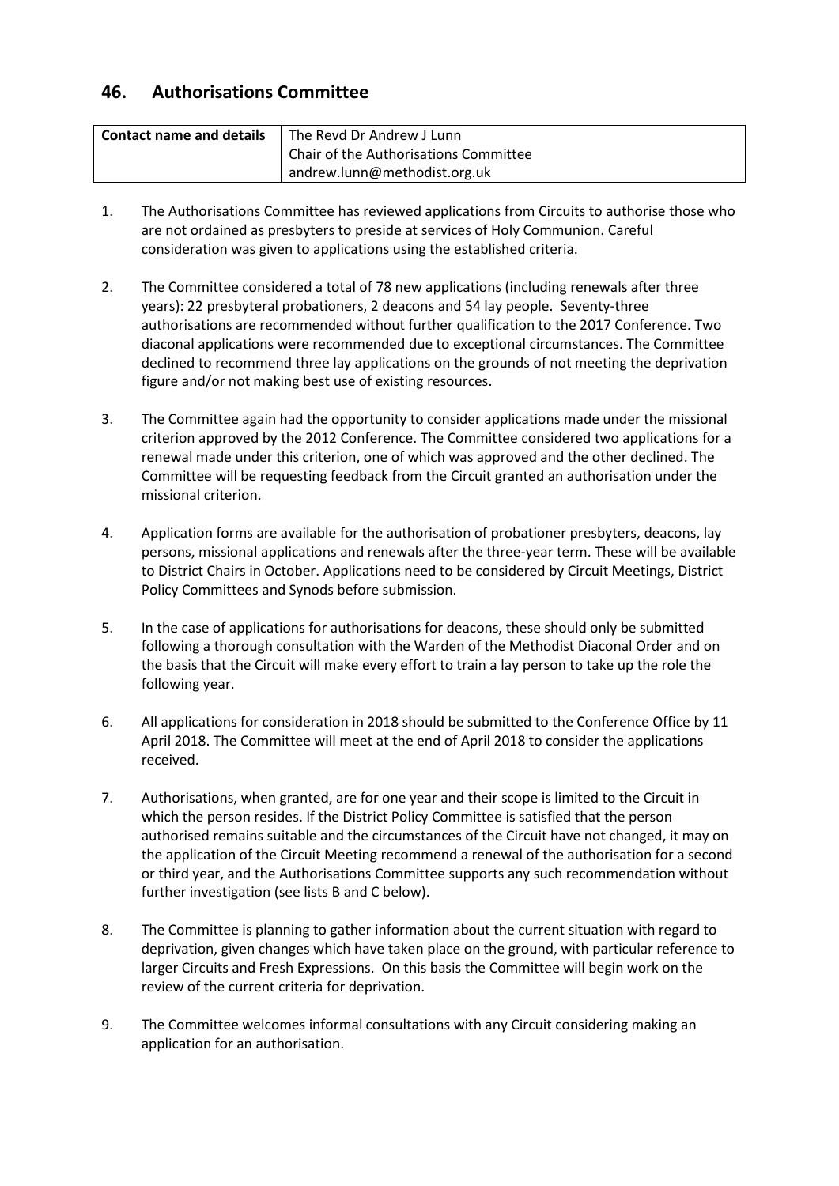# **46. Authorisations Committee**

| <b>Contact name and details</b> | The Revd Dr Andrew J Lunn             |
|---------------------------------|---------------------------------------|
|                                 | Chair of the Authorisations Committee |
|                                 | andrew.lunn@methodist.org.uk          |

- 1. The Authorisations Committee has reviewed applications from Circuits to authorise those who are not ordained as presbyters to preside at services of Holy Communion. Careful consideration was given to applications using the established criteria.
- 2. The Committee considered a total of 78 new applications (including renewals after three years): 22 presbyteral probationers, 2 deacons and 54 lay people. Seventy-three authorisations are recommended without further qualification to the 2017 Conference. Two diaconal applications were recommended due to exceptional circumstances. The Committee declined to recommend three lay applications on the grounds of not meeting the deprivation figure and/or not making best use of existing resources.
- 3. The Committee again had the opportunity to consider applications made under the missional criterion approved by the 2012 Conference. The Committee considered two applications for a renewal made under this criterion, one of which was approved and the other declined. The Committee will be requesting feedback from the Circuit granted an authorisation under the missional criterion.
- 4. Application forms are available for the authorisation of probationer presbyters, deacons, lay persons, missional applications and renewals after the three-year term. These will be available to District Chairs in October. Applications need to be considered by Circuit Meetings, District Policy Committees and Synods before submission.
- 5. In the case of applications for authorisations for deacons, these should only be submitted following a thorough consultation with the Warden of the Methodist Diaconal Order and on the basis that the Circuit will make every effort to train a lay person to take up the role the following year.
- 6. All applications for consideration in 2018 should be submitted to the Conference Office by 11 April 2018. The Committee will meet at the end of April 2018 to consider the applications received.
- 7. Authorisations, when granted, are for one year and their scope is limited to the Circuit in which the person resides. If the District Policy Committee is satisfied that the person authorised remains suitable and the circumstances of the Circuit have not changed, it may on the application of the Circuit Meeting recommend a renewal of the authorisation for a second or third year, and the Authorisations Committee supports any such recommendation without further investigation (see lists B and C below).
- 8. The Committee is planning to gather information about the current situation with regard to deprivation, given changes which have taken place on the ground, with particular reference to larger Circuits and Fresh Expressions. On this basis the Committee will begin work on the review of the current criteria for deprivation.
- 9. The Committee welcomes informal consultations with any Circuit considering making an application for an authorisation.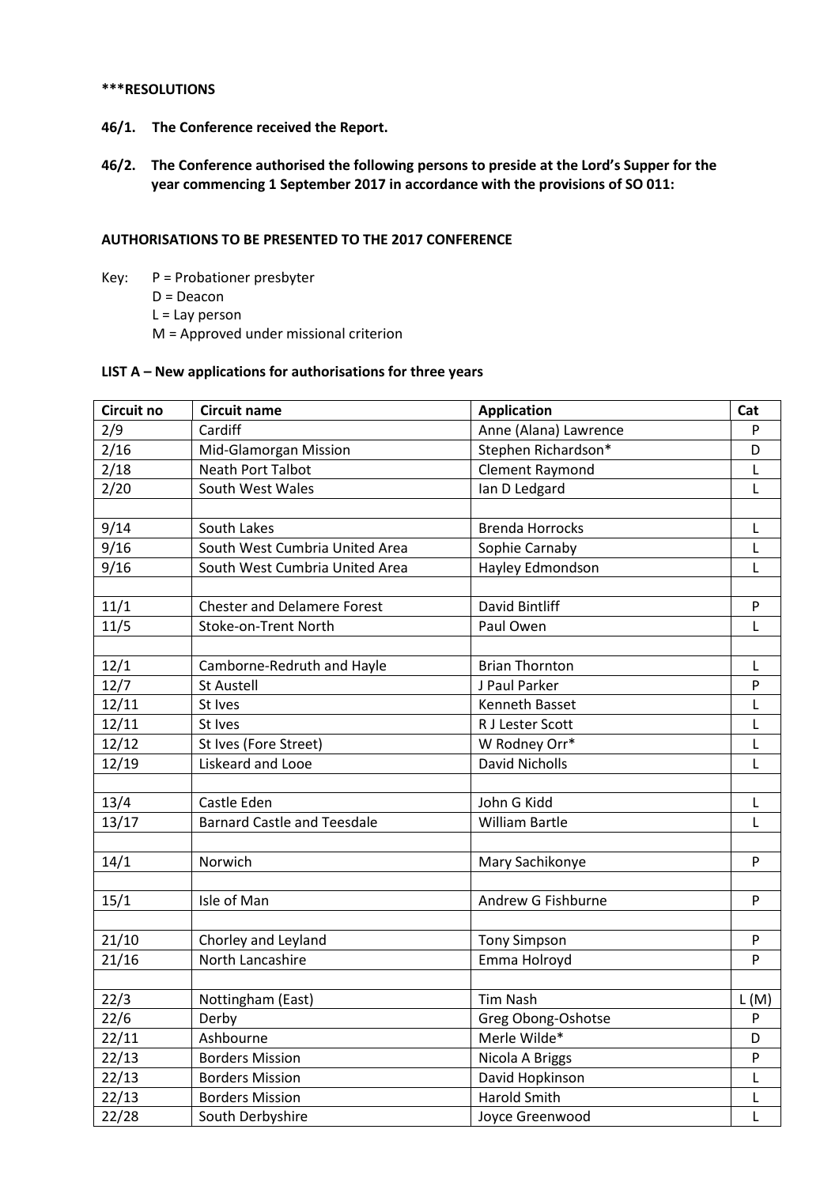#### **\*\*\*RESOLUTIONS**

- **46/1. The Conference received the Report.**
- **46/2. The Conference authorised the following persons to preside at the Lord's Supper for the year commencing 1 September 2017 in accordance with the provisions of SO 011:**

### **AUTHORISATIONS TO BE PRESENTED TO THE 2017 CONFERENCE**

- Key: P = Probationer presbyter D = Deacon
	- L = Lay person
	- M = Approved under missional criterion

#### **LIST A – New applications for authorisations for three years**

| Circuit no | <b>Circuit name</b>                | <b>Application</b>     | Cat       |
|------------|------------------------------------|------------------------|-----------|
| 2/9        | Cardiff                            | Anne (Alana) Lawrence  | P         |
| 2/16       | Mid-Glamorgan Mission              | Stephen Richardson*    | D         |
| 2/18       | <b>Neath Port Talbot</b>           | <b>Clement Raymond</b> | L         |
| 2/20       | South West Wales                   | Ian D Ledgard          | L         |
|            |                                    |                        |           |
| 9/14       | South Lakes                        | <b>Brenda Horrocks</b> | L         |
| 9/16       | South West Cumbria United Area     | Sophie Carnaby         | L         |
| 9/16       | South West Cumbria United Area     | Hayley Edmondson       | L         |
|            |                                    |                        |           |
| 11/1       | <b>Chester and Delamere Forest</b> | David Bintliff         | ${\sf P}$ |
| 11/5       | Stoke-on-Trent North               | Paul Owen              | L         |
|            |                                    |                        |           |
| 12/1       | Camborne-Redruth and Hayle         | <b>Brian Thornton</b>  | L         |
| 12/7       | <b>St Austell</b>                  | J Paul Parker          | P         |
| 12/11      | St Ives                            | Kenneth Basset         | L         |
| 12/11      | St Ives                            | R J Lester Scott       | L         |
| 12/12      | St Ives (Fore Street)              | W Rodney Orr*          | L         |
| 12/19      | Liskeard and Looe                  | <b>David Nicholls</b>  | Г         |
|            |                                    |                        |           |
| 13/4       | Castle Eden                        | John G Kidd            | L         |
| 13/17      | <b>Barnard Castle and Teesdale</b> | <b>William Bartle</b>  | L         |
|            |                                    |                        |           |
| 14/1       | Norwich                            | Mary Sachikonye        | P         |
|            |                                    |                        |           |
| 15/1       | Isle of Man                        | Andrew G Fishburne     | P         |
|            |                                    |                        |           |
| 21/10      | Chorley and Leyland                | <b>Tony Simpson</b>    | ${\sf P}$ |
| 21/16      | North Lancashire                   | Emma Holroyd           | P         |
|            |                                    |                        |           |
| 22/3       | Nottingham (East)                  | Tim Nash               | L(M)      |
| 22/6       | Derby                              | Greg Obong-Oshotse     | P         |
| 22/11      | Ashbourne                          | Merle Wilde*           | D         |
| 22/13      | <b>Borders Mission</b>             | Nicola A Briggs        | P         |
| 22/13      | <b>Borders Mission</b>             | David Hopkinson        | L         |
| 22/13      | <b>Borders Mission</b>             | Harold Smith           | L         |
| 22/28      | South Derbyshire                   | Joyce Greenwood        | L         |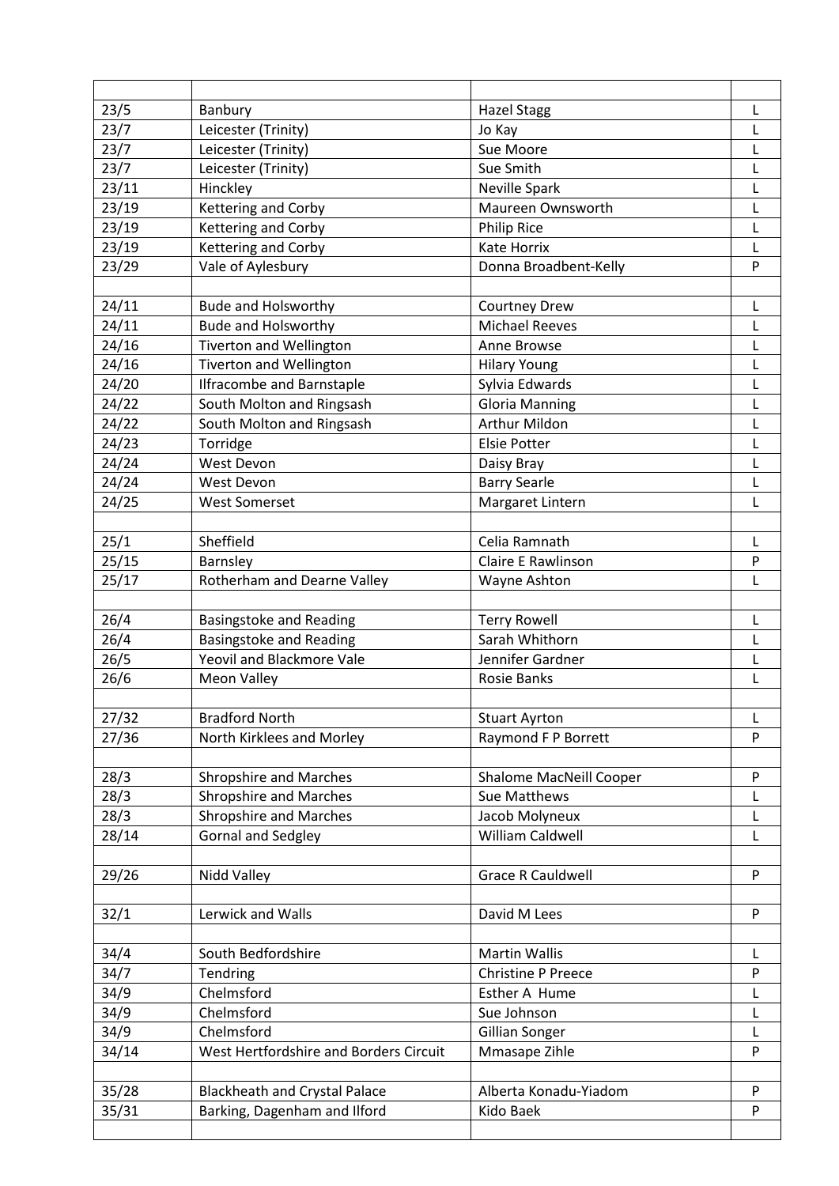| 23/5  | Banbury                                | <b>Hazel Stagg</b>        | L            |
|-------|----------------------------------------|---------------------------|--------------|
| 23/7  | Leicester (Trinity)                    | Jo Kay                    | L            |
| 23/7  | Leicester (Trinity)                    | Sue Moore                 | L            |
| 23/7  | Leicester (Trinity)                    | Sue Smith                 | L            |
| 23/11 | Hinckley                               | Neville Spark             | L            |
| 23/19 | Kettering and Corby                    | Maureen Ownsworth         | L            |
| 23/19 | Kettering and Corby                    | <b>Philip Rice</b>        | L            |
| 23/19 | Kettering and Corby                    | <b>Kate Horrix</b>        | L            |
| 23/29 | Vale of Aylesbury                      | Donna Broadbent-Kelly     | P            |
|       |                                        |                           |              |
| 24/11 | <b>Bude and Holsworthy</b>             | <b>Courtney Drew</b>      | L            |
| 24/11 | <b>Bude and Holsworthy</b>             | <b>Michael Reeves</b>     | L            |
| 24/16 | <b>Tiverton and Wellington</b>         | Anne Browse               | L            |
| 24/16 | Tiverton and Wellington                | <b>Hilary Young</b>       | L            |
| 24/20 | <b>Ilfracombe and Barnstaple</b>       | Sylvia Edwards            | L            |
| 24/22 | South Molton and Ringsash              | <b>Gloria Manning</b>     | L            |
| 24/22 | South Molton and Ringsash              | <b>Arthur Mildon</b>      | L            |
| 24/23 | Torridge                               | <b>Elsie Potter</b>       | L            |
| 24/24 | West Devon                             | Daisy Bray                | L            |
| 24/24 | West Devon                             | <b>Barry Searle</b>       | L            |
| 24/25 | <b>West Somerset</b>                   | Margaret Lintern          | L            |
|       |                                        |                           |              |
| 25/1  | Sheffield                              | Celia Ramnath             | L            |
| 25/15 | Barnsley                               | <b>Claire E Rawlinson</b> | P            |
| 25/17 | Rotherham and Dearne Valley            | Wayne Ashton              | L            |
|       |                                        |                           |              |
| 26/4  | <b>Basingstoke and Reading</b>         | <b>Terry Rowell</b>       | $\mathsf{L}$ |
| 26/4  | <b>Basingstoke and Reading</b>         | Sarah Whithorn            | L            |
| 26/5  | Yeovil and Blackmore Vale              | Jennifer Gardner          | L            |
| 26/6  | <b>Meon Valley</b>                     | <b>Rosie Banks</b>        | L            |
|       |                                        |                           |              |
| 27/32 | <b>Bradford North</b>                  | <b>Stuart Ayrton</b>      | L            |
| 27/36 | North Kirklees and Morley              | Raymond F P Borrett       | P            |
|       |                                        |                           |              |
| 28/3  | <b>Shropshire and Marches</b>          | Shalome MacNeill Cooper   | P            |
| 28/3  | Shropshire and Marches                 | Sue Matthews              | L            |
| 28/3  | <b>Shropshire and Marches</b>          | Jacob Molyneux            | L            |
| 28/14 | Gornal and Sedgley                     | William Caldwell          | L            |
|       |                                        |                           |              |
| 29/26 | Nidd Valley                            | <b>Grace R Cauldwell</b>  | P            |
|       |                                        |                           |              |
| 32/1  | Lerwick and Walls                      | David M Lees              | P            |
|       |                                        |                           |              |
| 34/4  | South Bedfordshire                     | <b>Martin Wallis</b>      | L            |
| 34/7  | Tendring                               | <b>Christine P Preece</b> | P            |
| 34/9  | Chelmsford                             | Esther A Hume             | L            |
| 34/9  | Chelmsford                             | Sue Johnson               | L            |
| 34/9  | Chelmsford                             | Gillian Songer            | L            |
| 34/14 | West Hertfordshire and Borders Circuit | Mmasape Zihle             | P            |
|       |                                        |                           |              |
| 35/28 | <b>Blackheath and Crystal Palace</b>   | Alberta Konadu-Yiadom     | P            |
| 35/31 | Barking, Dagenham and Ilford           | Kido Baek                 | P            |
|       |                                        |                           |              |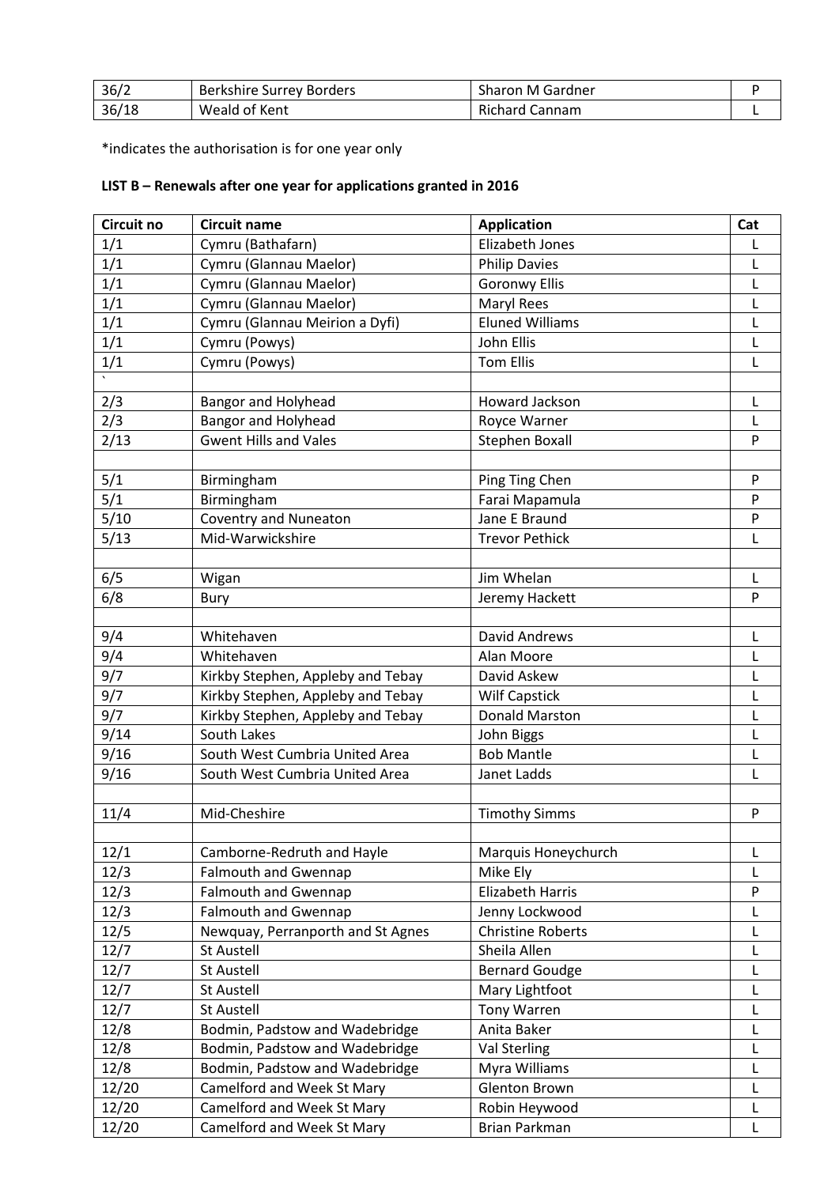| 36/2  | Berkshire Surrey Borders | <b>Sharon M Gardner</b> |  |
|-------|--------------------------|-------------------------|--|
| 36/18 | Weald of Kent            | Richard Cannam          |  |

\*indicates the authorisation is for one year only

## **LIST B – Renewals after one year for applications granted in 2016**

| Circuit no | <b>Circuit name</b>               | <b>Application</b>       | Cat    |
|------------|-----------------------------------|--------------------------|--------|
| 1/1        | Cymru (Bathafarn)                 | <b>Elizabeth Jones</b>   | L      |
| 1/1        | Cymru (Glannau Maelor)            | <b>Philip Davies</b>     | L      |
| 1/1        | Cymru (Glannau Maelor)            | <b>Goronwy Ellis</b>     | L      |
| 1/1        | Cymru (Glannau Maelor)            | <b>Maryl Rees</b>        | L      |
| 1/1        | Cymru (Glannau Meirion a Dyfi)    | <b>Eluned Williams</b>   | L      |
| 1/1        | Cymru (Powys)                     | John Ellis               | L      |
| 1/1        | Cymru (Powys)                     | <b>Tom Ellis</b>         | L      |
|            |                                   |                          |        |
| 2/3        | Bangor and Holyhead               | Howard Jackson           | L      |
| 2/3        | <b>Bangor and Holyhead</b>        | Royce Warner             | L      |
| 2/13       | <b>Gwent Hills and Vales</b>      | <b>Stephen Boxall</b>    | P      |
|            |                                   |                          |        |
| 5/1        | Birmingham                        | Ping Ting Chen           | P      |
| 5/1        | Birmingham                        | Farai Mapamula           | P      |
| 5/10       | <b>Coventry and Nuneaton</b>      | Jane E Braund            | P      |
| 5/13       | Mid-Warwickshire                  | <b>Trevor Pethick</b>    | L      |
|            |                                   |                          |        |
| 6/5        | Wigan                             | Jim Whelan               | Г      |
| 6/8        | Bury                              | Jeremy Hackett           | P      |
|            |                                   |                          |        |
| 9/4        | Whitehaven                        | David Andrews            | L      |
| 9/4        | Whitehaven                        | Alan Moore               | L      |
| 9/7        | Kirkby Stephen, Appleby and Tebay | David Askew              | L      |
| 9/7        | Kirkby Stephen, Appleby and Tebay | <b>Wilf Capstick</b>     | L      |
| 9/7        | Kirkby Stephen, Appleby and Tebay | <b>Donald Marston</b>    | L      |
| 9/14       | South Lakes                       | John Biggs               | Г      |
| 9/16       | South West Cumbria United Area    | <b>Bob Mantle</b>        | L      |
| 9/16       | South West Cumbria United Area    | Janet Ladds              | L      |
|            |                                   |                          |        |
| 11/4       | Mid-Cheshire                      | <b>Timothy Simms</b>     | P      |
|            |                                   |                          |        |
| 12/1       | Camborne-Redruth and Hayle        | Marquis Honeychurch      |        |
| 12/3       | <b>Falmouth and Gwennap</b>       | Mike Ely                 | L<br>L |
| 12/3       | <b>Falmouth and Gwennap</b>       | Elizabeth Harris         | P      |
| 12/3       | <b>Falmouth and Gwennap</b>       | Jenny Lockwood           | L      |
| 12/5       | Newquay, Perranporth and St Agnes | <b>Christine Roberts</b> | L      |
|            | St Austell                        | Sheila Allen             |        |
| 12/7       |                                   |                          | L      |
| 12/7       | St Austell                        | <b>Bernard Goudge</b>    | L      |
| 12/7       | St Austell                        | Mary Lightfoot           | L      |
| 12/7       | St Austell                        | <b>Tony Warren</b>       | L      |
| 12/8       | Bodmin, Padstow and Wadebridge    | Anita Baker              | L      |
| 12/8       | Bodmin, Padstow and Wadebridge    | Val Sterling             | L      |
| 12/8       | Bodmin, Padstow and Wadebridge    | Myra Williams            | L      |
| 12/20      | Camelford and Week St Mary        | <b>Glenton Brown</b>     | L      |
| 12/20      | Camelford and Week St Mary        | Robin Heywood            | L      |
| 12/20      | Camelford and Week St Mary        | Brian Parkman            | L      |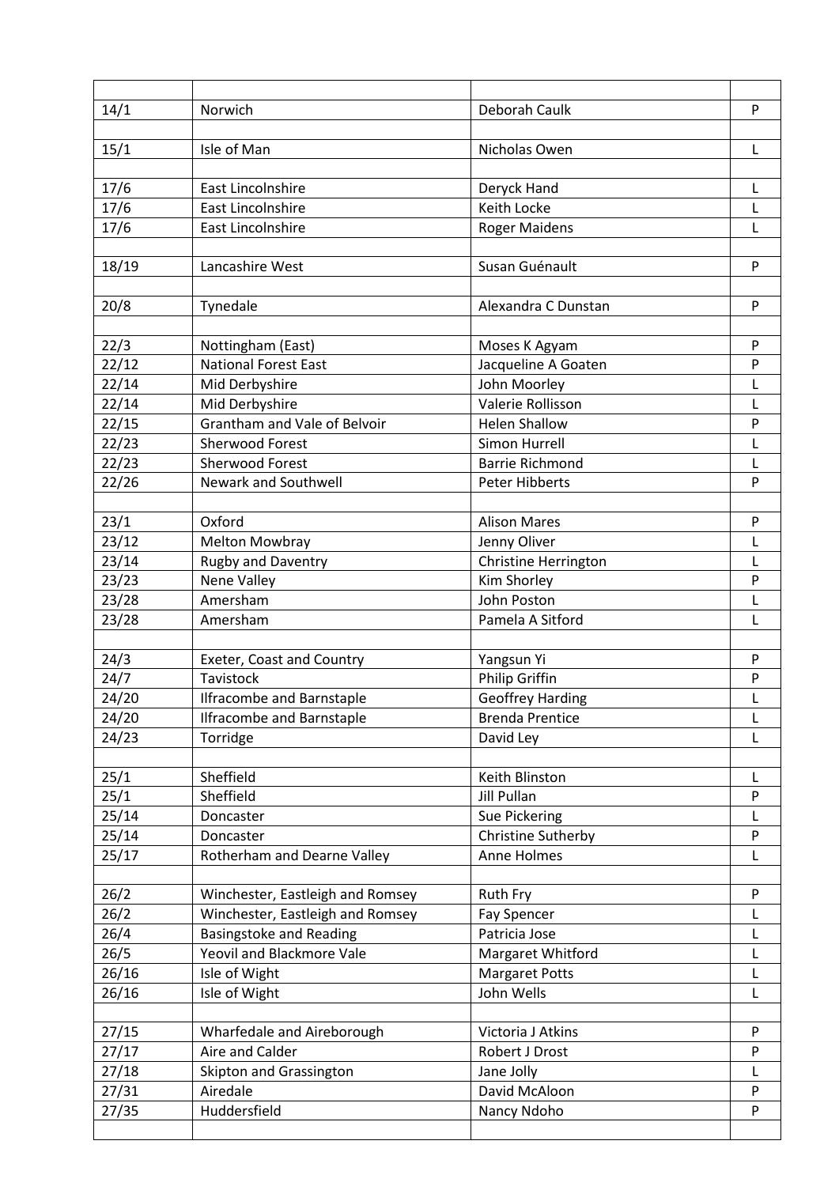| 14/1  | Norwich                          | Deborah Caulk           | P |
|-------|----------------------------------|-------------------------|---|
|       |                                  |                         |   |
| 15/1  | Isle of Man                      | Nicholas Owen           | L |
|       |                                  |                         |   |
| 17/6  | <b>East Lincolnshire</b>         | Deryck Hand             | L |
| 17/6  | East Lincolnshire                | Keith Locke             | L |
| 17/6  | <b>East Lincolnshire</b>         | <b>Roger Maidens</b>    | L |
|       |                                  |                         |   |
| 18/19 | Lancashire West                  | Susan Guénault          | P |
| 20/8  | Tynedale                         | Alexandra C Dunstan     | P |
|       |                                  |                         |   |
| 22/3  | Nottingham (East)                | Moses K Agyam           | P |
| 22/12 | <b>National Forest East</b>      | Jacqueline A Goaten     | P |
| 22/14 | Mid Derbyshire                   | John Moorley            | L |
| 22/14 | Mid Derbyshire                   | Valerie Rollisson       | L |
| 22/15 | Grantham and Vale of Belvoir     | <b>Helen Shallow</b>    | P |
| 22/23 | Sherwood Forest                  | Simon Hurrell           | L |
| 22/23 | <b>Sherwood Forest</b>           | <b>Barrie Richmond</b>  | L |
| 22/26 | Newark and Southwell             | <b>Peter Hibberts</b>   | P |
|       |                                  |                         |   |
| 23/1  | Oxford                           | <b>Alison Mares</b>     | P |
| 23/12 | <b>Melton Mowbray</b>            | Jenny Oliver            | L |
| 23/14 | <b>Rugby and Daventry</b>        | Christine Herrington    | L |
| 23/23 | Nene Valley                      | Kim Shorley             | P |
| 23/28 | Amersham                         | John Poston             | L |
| 23/28 | Amersham                         | Pamela A Sitford        | L |
|       |                                  |                         |   |
| 24/3  | Exeter, Coast and Country        | Yangsun Yi              | P |
| 24/7  | Tavistock                        | Philip Griffin          | P |
| 24/20 | <b>Ilfracombe and Barnstaple</b> | <b>Geoffrey Harding</b> | L |
| 24/20 | <b>Ilfracombe and Barnstaple</b> | <b>Brenda Prentice</b>  | L |
| 24/23 | Torridge                         | David Ley               | L |
|       |                                  |                         |   |
| 25/1  | Sheffield                        | Keith Blinston          | L |
| 25/1  | Sheffield                        | <b>Jill Pullan</b>      | P |
| 25/14 | Doncaster                        | Sue Pickering           | L |
| 25/14 | Doncaster                        | Christine Sutherby      | P |
| 25/17 | Rotherham and Dearne Valley      | Anne Holmes             | L |
|       |                                  |                         |   |
| 26/2  | Winchester, Eastleigh and Romsey | Ruth Fry                | P |
| 26/2  | Winchester, Eastleigh and Romsey | Fay Spencer             | L |
| 26/4  | <b>Basingstoke and Reading</b>   | Patricia Jose           | L |
| 26/5  | Yeovil and Blackmore Vale        | Margaret Whitford       | L |
| 26/16 | Isle of Wight                    | <b>Margaret Potts</b>   | L |
| 26/16 | Isle of Wight                    | John Wells              | L |
|       |                                  |                         |   |
| 27/15 | Wharfedale and Aireborough       | Victoria J Atkins       | P |
| 27/17 | Aire and Calder                  | Robert J Drost          | P |
| 27/18 | Skipton and Grassington          | Jane Jolly              | L |
| 27/31 | Airedale                         | David McAloon           | P |
| 27/35 | Huddersfield                     | Nancy Ndoho             | P |
|       |                                  |                         |   |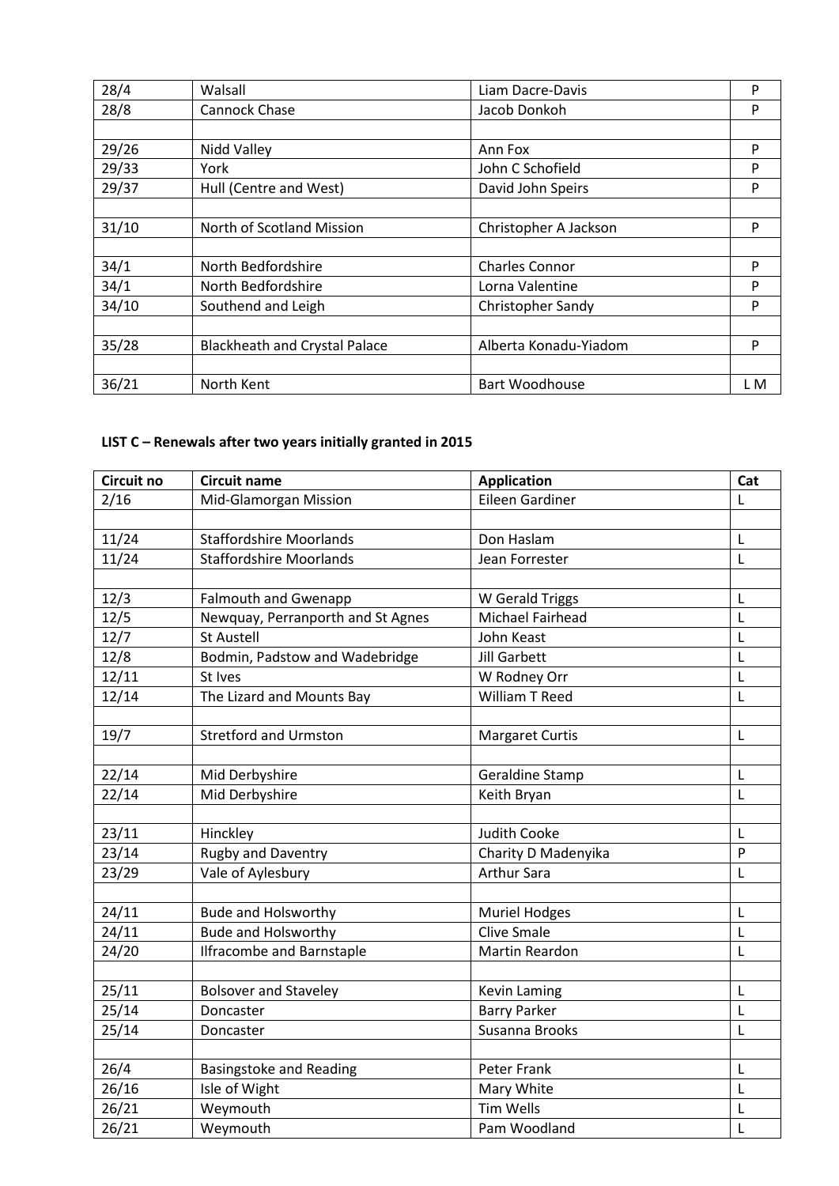| 28/4  | Walsall                              | Liam Dacre-Davis         | P   |
|-------|--------------------------------------|--------------------------|-----|
| 28/8  | Cannock Chase                        | Jacob Donkoh             | P   |
|       |                                      |                          |     |
| 29/26 | Nidd Valley                          | Ann Fox                  | P   |
| 29/33 | York                                 | John C Schofield         | P   |
| 29/37 | Hull (Centre and West)               | David John Speirs        | P   |
|       |                                      |                          |     |
| 31/10 | North of Scotland Mission            | Christopher A Jackson    | P   |
|       |                                      |                          |     |
| 34/1  | North Bedfordshire                   | <b>Charles Connor</b>    | P   |
| 34/1  | North Bedfordshire                   | Lorna Valentine          | P   |
| 34/10 | Southend and Leigh                   | <b>Christopher Sandy</b> | P   |
|       |                                      |                          |     |
| 35/28 | <b>Blackheath and Crystal Palace</b> | Alberta Konadu-Yiadom    | P   |
|       |                                      |                          |     |
| 36/21 | North Kent                           | <b>Bart Woodhouse</b>    | L M |

## **LIST C – Renewals after two years initially granted in 2015**

| Circuit no | <b>Circuit name</b>               | <b>Application</b>     | Cat         |
|------------|-----------------------------------|------------------------|-------------|
| 2/16       | Mid-Glamorgan Mission             | Eileen Gardiner        | L           |
|            |                                   |                        |             |
| 11/24      | <b>Staffordshire Moorlands</b>    | Don Haslam             | L           |
| 11/24      | <b>Staffordshire Moorlands</b>    | Jean Forrester         | $\mathsf L$ |
|            |                                   |                        |             |
| 12/3       | <b>Falmouth and Gwenapp</b>       | W Gerald Triggs        | L           |
| 12/5       | Newquay, Perranporth and St Agnes | Michael Fairhead       | L           |
| 12/7       | <b>St Austell</b>                 | John Keast             | L           |
| 12/8       | Bodmin, Padstow and Wadebridge    | <b>Jill Garbett</b>    | L           |
| 12/11      | St Ives                           | W Rodney Orr           | L           |
| 12/14      | The Lizard and Mounts Bay         | William T Reed         | L           |
|            |                                   |                        |             |
| 19/7       | <b>Stretford and Urmston</b>      | <b>Margaret Curtis</b> | L           |
|            |                                   |                        |             |
| 22/14      | Mid Derbyshire                    | Geraldine Stamp        | L           |
| 22/14      | Mid Derbyshire                    | Keith Bryan            | L           |
|            |                                   |                        |             |
| 23/11      | Hinckley                          | <b>Judith Cooke</b>    | L           |
| 23/14      | <b>Rugby and Daventry</b>         | Charity D Madenyika    | P           |
| 23/29      | Vale of Aylesbury                 | <b>Arthur Sara</b>     | L           |
|            |                                   |                        |             |
| 24/11      | <b>Bude and Holsworthy</b>        | <b>Muriel Hodges</b>   | L           |
| 24/11      | <b>Bude and Holsworthy</b>        | <b>Clive Smale</b>     | L           |
| 24/20      | <b>Ilfracombe and Barnstaple</b>  | <b>Martin Reardon</b>  | L           |
|            |                                   |                        |             |
| 25/11      | <b>Bolsover and Staveley</b>      | Kevin Laming           | L           |
| 25/14      | Doncaster                         | <b>Barry Parker</b>    | L           |
| 25/14      | Doncaster                         | Susanna Brooks         | L           |
|            |                                   |                        |             |
| 26/4       | <b>Basingstoke and Reading</b>    | Peter Frank            | L           |
| 26/16      | Isle of Wight                     | Mary White             | L           |
| 26/21      | Weymouth                          | <b>Tim Wells</b>       | L           |
| 26/21      | Weymouth                          | Pam Woodland           | L           |